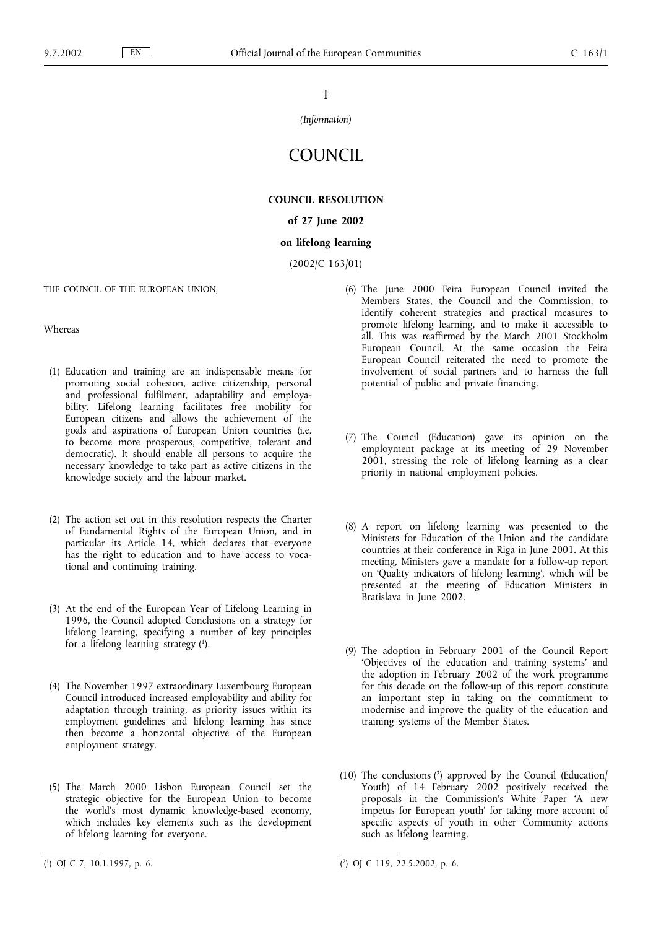I

#### *(Information)*

# **COUNCIL**

## **COUNCIL RESOLUTION**

## **of 27 June 2002**

## **on lifelong learning**

(2002/C 163/01)

THE COUNCIL OF THE EUROPEAN UNION,

Whereas

- (1) Education and training are an indispensable means for promoting social cohesion, active citizenship, personal and professional fulfilment, adaptability and employability. Lifelong learning facilitates free mobility for European citizens and allows the achievement of the goals and aspirations of European Union countries (i.e. to become more prosperous, competitive, tolerant and democratic). It should enable all persons to acquire the necessary knowledge to take part as active citizens in the knowledge society and the labour market.
- (2) The action set out in this resolution respects the Charter of Fundamental Rights of the European Union, and in particular its Article 14, which declares that everyone has the right to education and to have access to vocational and continuing training.
- (3) At the end of the European Year of Lifelong Learning in 1996, the Council adopted Conclusions on a strategy for lifelong learning, specifying a number of key principles for a lifelong learning strategy (1).
- (4) The November 1997 extraordinary Luxembourg European Council introduced increased employability and ability for adaptation through training, as priority issues within its employment guidelines and lifelong learning has since then become a horizontal objective of the European employment strategy.
- (5) The March 2000 Lisbon European Council set the strategic objective for the European Union to become the world's most dynamic knowledge-based economy, which includes key elements such as the development of lifelong learning for everyone.
- (6) The June 2000 Feira European Council invited the Members States, the Council and the Commission, to identify coherent strategies and practical measures to promote lifelong learning, and to make it accessible to all. This was reaffirmed by the March 2001 Stockholm European Council. At the same occasion the Feira European Council reiterated the need to promote the involvement of social partners and to harness the full potential of public and private financing.
- (7) The Council (Education) gave its opinion on the employment package at its meeting of 29 November 2001, stressing the role of lifelong learning as a clear priority in national employment policies.
- (8) A report on lifelong learning was presented to the Ministers for Education of the Union and the candidate countries at their conference in Riga in June 2001. At this meeting, Ministers gave a mandate for a follow-up report on 'Quality indicators of lifelong learning', which will be presented at the meeting of Education Ministers in Bratislava in June 2002.
- (9) The adoption in February 2001 of the Council Report 'Objectives of the education and training systems' and the adoption in February 2002 of the work programme for this decade on the follow-up of this report constitute an important step in taking on the commitment to modernise and improve the quality of the education and training systems of the Member States.
- (10) The conclusions  $(2)$  approved by the Council (Education) Youth) of 14 February 2002 positively received the proposals in the Commission's White Paper 'A new impetus for European youth' for taking more account of specific aspects of youth in other Community actions such as lifelong learning.

<sup>(</sup> 1) OJ C 7, 10.1.1997, p. 6. (

<sup>2)</sup> OJ C 119, 22.5.2002, p. 6.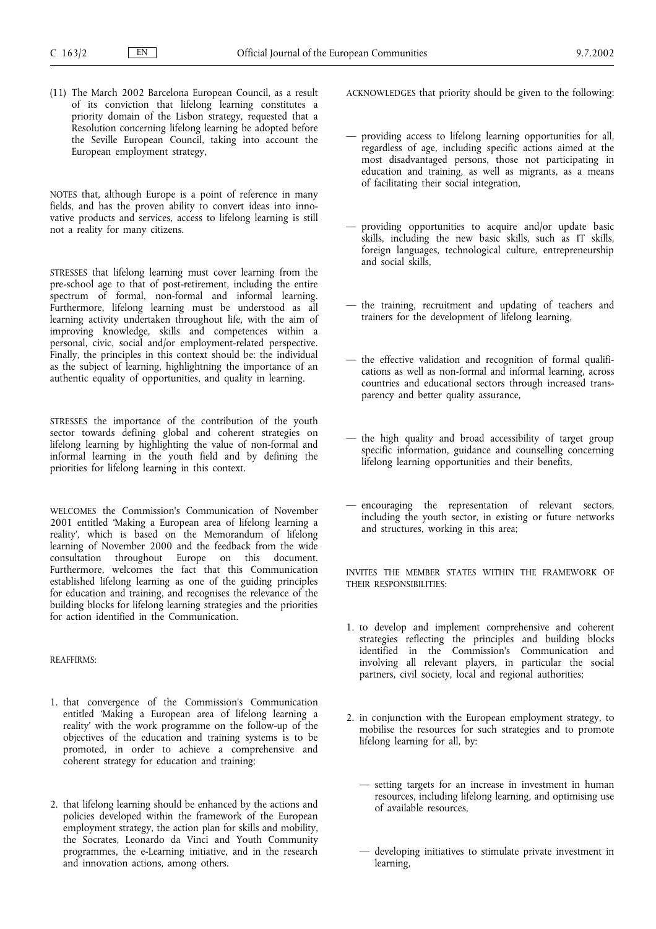(11) The March 2002 Barcelona European Council, as a result of its conviction that lifelong learning constitutes a priority domain of the Lisbon strategy, requested that a Resolution concerning lifelong learning be adopted before the Seville European Council, taking into account the European employment strategy,

NOTES that, although Europe is a point of reference in many fields, and has the proven ability to convert ideas into innovative products and services, access to lifelong learning is still not a reality for many citizens.

STRESSES that lifelong learning must cover learning from the pre-school age to that of post-retirement, including the entire spectrum of formal, non-formal and informal learning. Furthermore, lifelong learning must be understood as all learning activity undertaken throughout life, with the aim of improving knowledge, skills and competences within a personal, civic, social and/or employment-related perspective. Finally, the principles in this context should be: the individual as the subject of learning, highlightning the importance of an authentic equality of opportunities, and quality in learning.

STRESSES the importance of the contribution of the youth sector towards defining global and coherent strategies on lifelong learning by highlighting the value of non-formal and informal learning in the youth field and by defining the priorities for lifelong learning in this context.

WELCOMES the Commission's Communication of November 2001 entitled 'Making a European area of lifelong learning a reality', which is based on the Memorandum of lifelong learning of November 2000 and the feedback from the wide consultation throughout Europe on this document. Furthermore, welcomes the fact that this Communication established lifelong learning as one of the guiding principles for education and training, and recognises the relevance of the building blocks for lifelong learning strategies and the priorities for action identified in the Communication.

### REAFFIRMS:

- 1. that convergence of the Commission's Communication entitled 'Making a European area of lifelong learning a reality' with the work programme on the follow-up of the objectives of the education and training systems is to be promoted, in order to achieve a comprehensive and coherent strategy for education and training;
- 2. that lifelong learning should be enhanced by the actions and policies developed within the framework of the European employment strategy, the action plan for skills and mobility, the Socrates, Leonardo da Vinci and Youth Community programmes, the e-Learning initiative, and in the research and innovation actions, among others.
- ACKNOWLEDGES that priority should be given to the following:
- providing access to lifelong learning opportunities for all, regardless of age, including specific actions aimed at the most disadvantaged persons, those not participating in education and training, as well as migrants, as a means of facilitating their social integration,
- providing opportunities to acquire and/or update basic skills, including the new basic skills, such as IT skills, foreign languages, technological culture, entrepreneurship and social skills,
- the training, recruitment and updating of teachers and trainers for the development of lifelong learning,
- the effective validation and recognition of formal qualifications as well as non-formal and informal learning, across countries and educational sectors through increased transparency and better quality assurance,
- the high quality and broad accessibility of target group specific information, guidance and counselling concerning lifelong learning opportunities and their benefits,
- encouraging the representation of relevant sectors, including the youth sector, in existing or future networks and structures, working in this area;

INVITES THE MEMBER STATES WITHIN THE FRAMEWORK OF THEIR RESPONSIBILITIES:

- 1. to develop and implement comprehensive and coherent strategies reflecting the principles and building blocks identified in the Commission's Communication and involving all relevant players, in particular the social partners, civil society, local and regional authorities;
- 2. in conjunction with the European employment strategy, to mobilise the resources for such strategies and to promote lifelong learning for all, by:
	- setting targets for an increase in investment in human resources, including lifelong learning, and optimising use of available resources,
	- developing initiatives to stimulate private investment in learning,